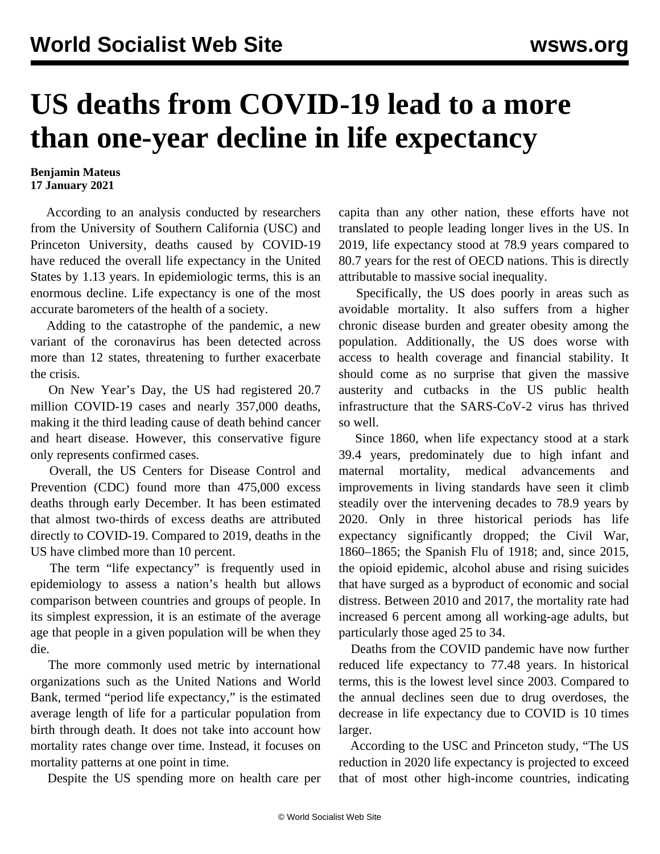## **US deaths from COVID-19 lead to a more than one-year decline in life expectancy**

## **Benjamin Mateus 17 January 2021**

 According to an analysis conducted by researchers from the University of Southern California (USC) and Princeton University, deaths caused by COVID-19 have reduced the overall life expectancy in the United States by 1.13 years. In epidemiologic terms, this is an enormous decline. Life expectancy is one of the most accurate barometers of the health of a society.

 Adding to the catastrophe of the pandemic, a new variant of the coronavirus has been detected across more than 12 states, threatening to further exacerbate the crisis.

 On New Year's Day, the US had registered 20.7 million COVID-19 cases and nearly 357,000 deaths, making it the third leading cause of death behind cancer and heart disease. However, this conservative figure only represents confirmed cases.

 Overall, the US Centers for Disease Control and Prevention (CDC) found more than 475,000 excess deaths through early December. It has been estimated that almost two-thirds of excess deaths are attributed directly to COVID-19. Compared to 2019, deaths in the US have climbed more than 10 percent.

 The term "life expectancy" is frequently used in epidemiology to assess a nation's health but allows comparison between countries and groups of people. In its simplest expression, it is an estimate of the average age that people in a given population will be when they die.

 The more commonly used metric by international organizations such as the United Nations and World Bank, termed "period life expectancy," is the estimated average length of life for a particular population from birth through death. It does not take into account how mortality rates change over time. Instead, it focuses on mortality patterns at one point in time.

Despite the US spending more on health care per

capita than any other nation, these efforts have not translated to people leading longer lives in the US. In 2019, life expectancy stood at 78.9 years compared to 80.7 years for the rest of OECD nations. This is directly attributable to massive social inequality.

 Specifically, the US does poorly in areas such as avoidable mortality. It also suffers from a higher chronic disease burden and greater obesity among the population. Additionally, the US does worse with access to health coverage and financial stability. It should come as no surprise that given the massive austerity and cutbacks in the US public health infrastructure that the SARS-CoV-2 virus has thrived so well.

 Since 1860, when life expectancy stood at a stark 39.4 years, predominately due to high infant and maternal mortality, medical advancements and improvements in living standards have seen it climb steadily over the intervening decades to 78.9 years by 2020. Only in three historical periods has life expectancy significantly dropped; the Civil War, 1860–1865; the Spanish Flu of 1918; and, since 2015, the opioid epidemic, alcohol abuse and rising suicides that have surged as a byproduct of economic and social distress. Between 2010 and 2017, the mortality rate had increased 6 percent among all working-age adults, but particularly those aged 25 to 34.

 Deaths from the COVID pandemic have now further reduced life expectancy to 77.48 years. In historical terms, this is the lowest level since 2003. Compared to the annual declines seen due to drug overdoses, the decrease in life expectancy due to COVID is 10 times larger.

 According to the [USC and Princeton study](https://www.pnas.org/content/pnas/118/5/e2014746118.full.pdf), "The US reduction in 2020 life expectancy is projected to exceed that of most other high-income countries, indicating